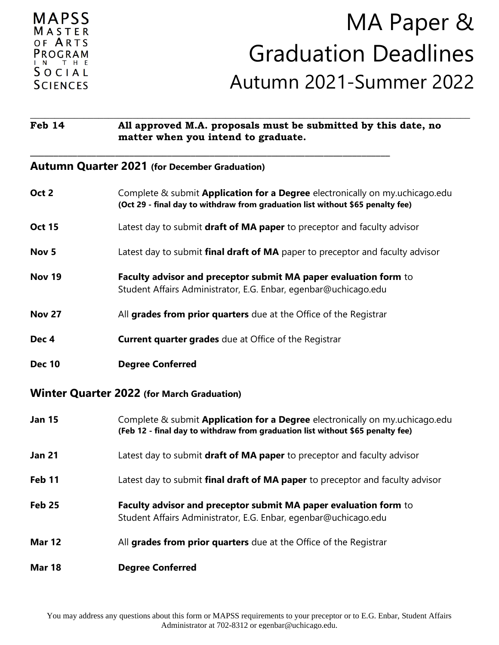| MAPSS                   |
|-------------------------|
| $M$ A S T E R           |
| OF <b>ARTS</b>          |
| PROGRAM                 |
| IN THE<br>$S$ O C I A L |
|                         |
| <b>SCIENCES</b>         |

# MA Paper & Graduation Deadlines Autumn 2021-Summer 2022

#### **\_\_\_\_\_\_\_\_\_\_\_\_\_\_\_\_\_\_\_\_\_\_\_\_\_\_\_\_\_\_\_\_\_\_\_\_\_\_\_\_\_\_\_\_\_\_\_\_\_\_\_\_\_\_\_\_\_\_\_\_\_\_\_\_\_\_\_\_\_\_\_\_\_\_\_\_\_\_\_\_\_\_\_\_\_\_\_\_\_\_ Feb 14 All approved M.A. proposals must be submitted by this date, no matter when you intend to graduate.**

**\_\_\_\_\_\_\_\_\_\_\_\_\_\_\_\_\_\_\_\_\_\_\_\_\_\_\_\_\_\_\_\_\_\_\_\_\_\_\_\_\_\_\_\_\_\_\_\_\_\_\_\_\_\_\_\_\_\_\_\_\_\_\_\_\_\_\_\_\_\_\_\_\_\_\_\_**

#### **Autumn Quarter 2021 (for December Graduation)**

| Oct 2                                             | Complete & submit <b>Application for a Degree</b> electronically on my.uchicago.edu<br>(Oct 29 - final day to withdraw from graduation list without \$65 penalty fee) |  |
|---------------------------------------------------|-----------------------------------------------------------------------------------------------------------------------------------------------------------------------|--|
| <b>Oct 15</b>                                     | Latest day to submit draft of MA paper to preceptor and faculty advisor                                                                                               |  |
| Nov <sub>5</sub>                                  | Latest day to submit final draft of MA paper to preceptor and faculty advisor                                                                                         |  |
| <b>Nov 19</b>                                     | Faculty advisor and preceptor submit MA paper evaluation form to<br>Student Affairs Administrator, E.G. Enbar, egenbar@uchicago.edu                                   |  |
| <b>Nov 27</b>                                     | All grades from prior quarters due at the Office of the Registrar                                                                                                     |  |
| Dec 4                                             | <b>Current quarter grades</b> due at Office of the Registrar                                                                                                          |  |
| <b>Dec 10</b>                                     | <b>Degree Conferred</b>                                                                                                                                               |  |
| <b>Winter Quarter 2022 (for March Graduation)</b> |                                                                                                                                                                       |  |
|                                                   |                                                                                                                                                                       |  |
| <b>Jan 15</b>                                     | Complete & submit <b>Application for a Degree</b> electronically on my.uchicago.edu<br>(Feb 12 - final day to withdraw from graduation list without \$65 penalty fee) |  |
| <b>Jan 21</b>                                     | Latest day to submit draft of MA paper to preceptor and faculty advisor                                                                                               |  |
| Feb 11                                            | Latest day to submit final draft of MA paper to preceptor and faculty advisor                                                                                         |  |
| <b>Feb 25</b>                                     | Faculty advisor and preceptor submit MA paper evaluation form to<br>Student Affairs Administrator, E.G. Enbar, egenbar@uchicago.edu                                   |  |
| <b>Mar 12</b>                                     | All grades from prior quarters due at the Office of the Registrar                                                                                                     |  |